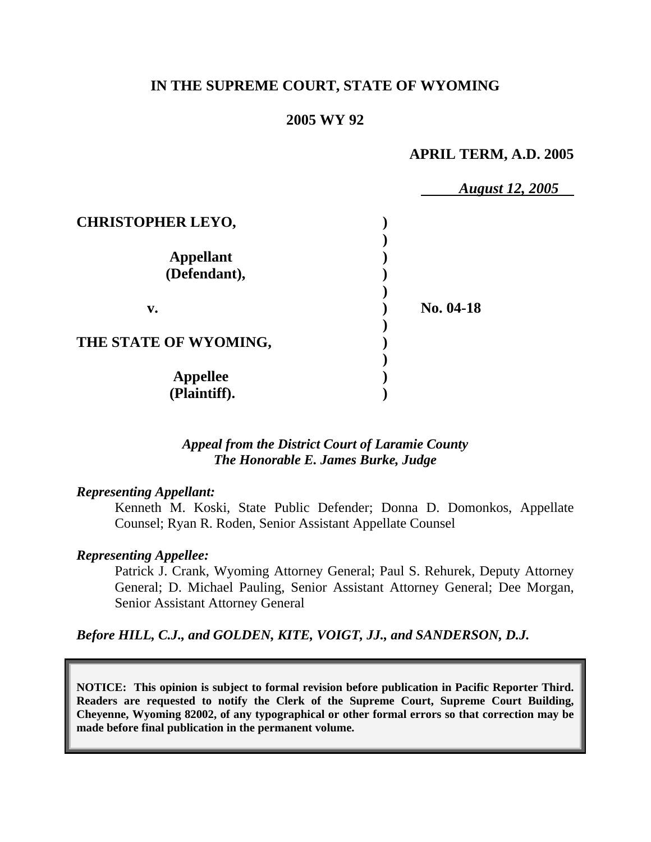# **IN THE SUPREME COURT, STATE OF WYOMING**

## **2005 WY 92**

# **APRIL TERM, A.D. 2005**

|                          | <b>August 12, 2005</b> |  |
|--------------------------|------------------------|--|
| <b>CHRISTOPHER LEYO,</b> |                        |  |
|                          |                        |  |
| <b>Appellant</b>         |                        |  |
| (Defendant),             |                        |  |
|                          |                        |  |
| $\mathbf{v}$ .           | No. 04-18              |  |
|                          |                        |  |
| THE STATE OF WYOMING,    |                        |  |
|                          |                        |  |
| <b>Appellee</b>          |                        |  |
| (Plaintiff).             |                        |  |

## *Appeal from the District Court of Laramie County The Honorable E. James Burke, Judge*

### *Representing Appellant:*

Kenneth M. Koski, State Public Defender; Donna D. Domonkos, Appellate Counsel; Ryan R. Roden, Senior Assistant Appellate Counsel

### *Representing Appellee:*

Patrick J. Crank, Wyoming Attorney General; Paul S. Rehurek, Deputy Attorney General; D. Michael Pauling, Senior Assistant Attorney General; Dee Morgan, Senior Assistant Attorney General

*Before HILL, C.J., and GOLDEN, KITE, VOIGT, JJ., and SANDERSON, D.J.* 

**NOTICE: This opinion is subject to formal revision before publication in Pacific Reporter Third. Readers are requested to notify the Clerk of the Supreme Court, Supreme Court Building, Cheyenne, Wyoming 82002, of any typographical or other formal errors so that correction may be made before final publication in the permanent volume.**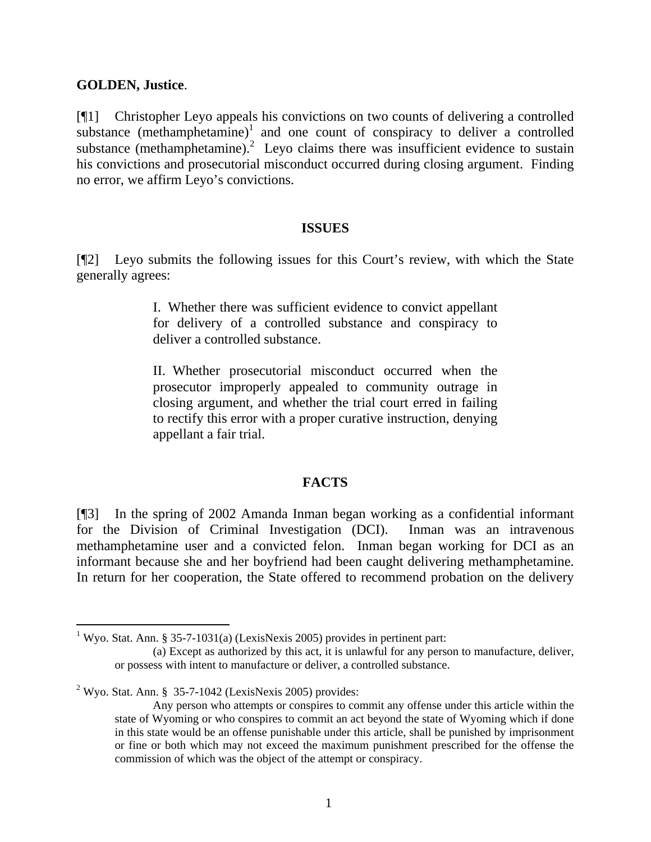## **GOLDEN, Justice**.

[¶1] Christopher Leyo appeals his convictions on two counts of delivering a controlled substance  $(methamphetamine)^1$  $(methamphetamine)^1$  and one count of conspiracy to deliver a controlled substance (methamphetamine).<sup>[2](#page-1-1)</sup> Leyo claims there was insufficient evidence to sustain his convictions and prosecutorial misconduct occurred during closing argument. Finding no error, we affirm Leyo's convictions.

#### **ISSUES**

[¶2] Leyo submits the following issues for this Court's review, with which the State generally agrees:

> I. Whether there was sufficient evidence to convict appellant for delivery of a controlled substance and conspiracy to deliver a controlled substance.

> II. Whether prosecutorial misconduct occurred when the prosecutor improperly appealed to community outrage in closing argument, and whether the trial court erred in failing to rectify this error with a proper curative instruction, denying appellant a fair trial.

## **FACTS**

[¶3] In the spring of 2002 Amanda Inman began working as a confidential informant for the Division of Criminal Investigation (DCI). Inman was an intravenous methamphetamine user and a convicted felon. Inman began working for DCI as an informant because she and her boyfriend had been caught delivering methamphetamine. In return for her cooperation, the State offered to recommend probation on the delivery

<span id="page-1-0"></span><sup>&</sup>lt;sup>1</sup> Wyo. Stat. Ann. § 35-7-1031(a) (LexisNexis 2005) provides in pertinent part:

<sup>(</sup>a) Except as authorized by this act, it is unlawful for any person to manufacture, deliver, or possess with intent to manufacture or deliver, a controlled substance.

<span id="page-1-1"></span><sup>&</sup>lt;sup>2</sup> Wyo. Stat. Ann. § 35-7-1042 (LexisNexis 2005) provides:

Any person who attempts or conspires to commit any offense under this article within the state of Wyoming or who conspires to commit an act beyond the state of Wyoming which if done in this state would be an offense punishable under this article, shall be punished by imprisonment or fine or both which may not exceed the maximum punishment prescribed for the offense the commission of which was the object of the attempt or conspiracy.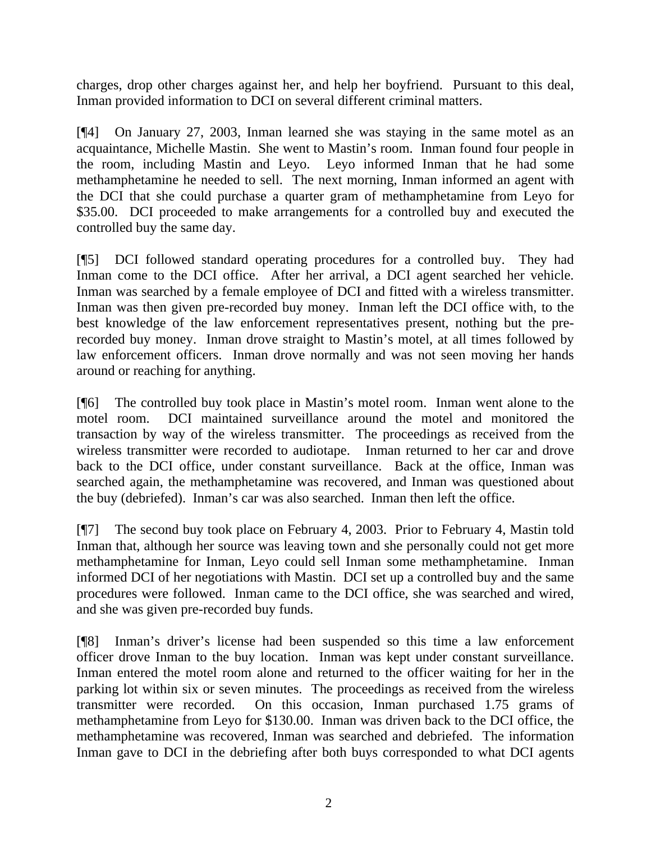charges, drop other charges against her, and help her boyfriend. Pursuant to this deal, Inman provided information to DCI on several different criminal matters.

[¶4] On January 27, 2003, Inman learned she was staying in the same motel as an acquaintance, Michelle Mastin. She went to Mastin's room. Inman found four people in the room, including Mastin and Leyo. Leyo informed Inman that he had some methamphetamine he needed to sell. The next morning, Inman informed an agent with the DCI that she could purchase a quarter gram of methamphetamine from Leyo for \$35.00. DCI proceeded to make arrangements for a controlled buy and executed the controlled buy the same day.

[¶5] DCI followed standard operating procedures for a controlled buy. They had Inman come to the DCI office. After her arrival, a DCI agent searched her vehicle. Inman was searched by a female employee of DCI and fitted with a wireless transmitter. Inman was then given pre-recorded buy money. Inman left the DCI office with, to the best knowledge of the law enforcement representatives present, nothing but the prerecorded buy money. Inman drove straight to Mastin's motel, at all times followed by law enforcement officers. Inman drove normally and was not seen moving her hands around or reaching for anything.

[¶6] The controlled buy took place in Mastin's motel room. Inman went alone to the motel room. DCI maintained surveillance around the motel and monitored the transaction by way of the wireless transmitter. The proceedings as received from the wireless transmitter were recorded to audiotape. Inman returned to her car and drove back to the DCI office, under constant surveillance. Back at the office, Inman was searched again, the methamphetamine was recovered, and Inman was questioned about the buy (debriefed). Inman's car was also searched. Inman then left the office.

[¶7] The second buy took place on February 4, 2003. Prior to February 4, Mastin told Inman that, although her source was leaving town and she personally could not get more methamphetamine for Inman, Leyo could sell Inman some methamphetamine. Inman informed DCI of her negotiations with Mastin. DCI set up a controlled buy and the same procedures were followed. Inman came to the DCI office, she was searched and wired, and she was given pre-recorded buy funds.

[¶8] Inman's driver's license had been suspended so this time a law enforcement officer drove Inman to the buy location. Inman was kept under constant surveillance. Inman entered the motel room alone and returned to the officer waiting for her in the parking lot within six or seven minutes. The proceedings as received from the wireless transmitter were recorded. On this occasion, Inman purchased 1.75 grams of methamphetamine from Leyo for \$130.00. Inman was driven back to the DCI office, the methamphetamine was recovered, Inman was searched and debriefed. The information Inman gave to DCI in the debriefing after both buys corresponded to what DCI agents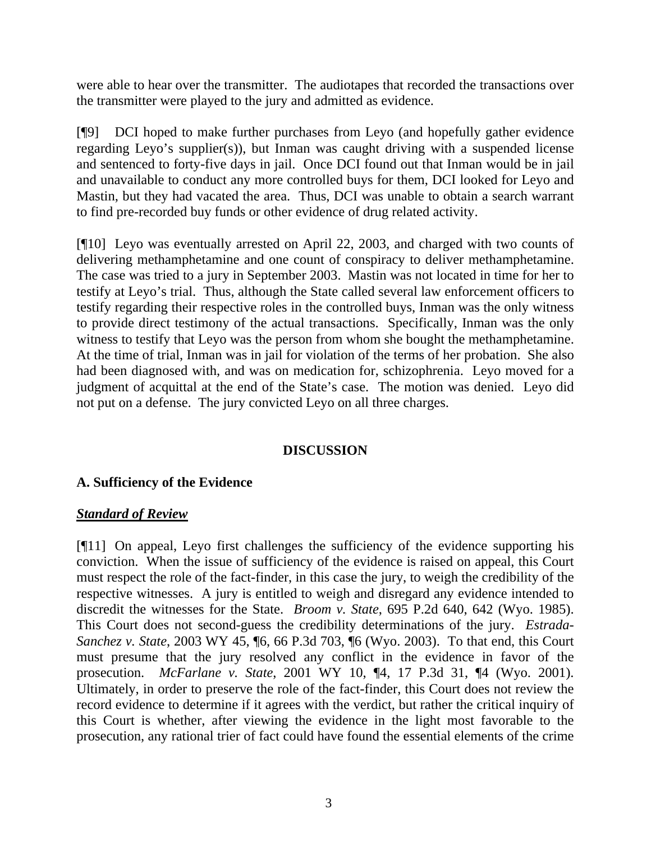were able to hear over the transmitter. The audiotapes that recorded the transactions over the transmitter were played to the jury and admitted as evidence.

[¶9] DCI hoped to make further purchases from Leyo (and hopefully gather evidence regarding Leyo's supplier(s)), but Inman was caught driving with a suspended license and sentenced to forty-five days in jail. Once DCI found out that Inman would be in jail and unavailable to conduct any more controlled buys for them, DCI looked for Leyo and Mastin, but they had vacated the area. Thus, DCI was unable to obtain a search warrant to find pre-recorded buy funds or other evidence of drug related activity.

[¶10] Leyo was eventually arrested on April 22, 2003, and charged with two counts of delivering methamphetamine and one count of conspiracy to deliver methamphetamine. The case was tried to a jury in September 2003. Mastin was not located in time for her to testify at Leyo's trial. Thus, although the State called several law enforcement officers to testify regarding their respective roles in the controlled buys, Inman was the only witness to provide direct testimony of the actual transactions. Specifically, Inman was the only witness to testify that Leyo was the person from whom she bought the methamphetamine. At the time of trial, Inman was in jail for violation of the terms of her probation. She also had been diagnosed with, and was on medication for, schizophrenia. Leyo moved for a judgment of acquittal at the end of the State's case. The motion was denied. Leyo did not put on a defense. The jury convicted Leyo on all three charges.

# **DISCUSSION**

## **A. Sufficiency of the Evidence**

## *Standard of Review*

[¶11] On appeal, Leyo first challenges the sufficiency of the evidence supporting his conviction. When the issue of sufficiency of the evidence is raised on appeal, this Court must respect the role of the fact-finder, in this case the jury, to weigh the credibility of the respective witnesses. A jury is entitled to weigh and disregard any evidence intended to discredit the witnesses for the State. *Broom v. State*, 695 P.2d 640, 642 (Wyo. 1985). This Court does not second-guess the credibility determinations of the jury. *Estrada-Sanchez v. State*, 2003 WY 45, ¶6, 66 P.3d 703, ¶6 (Wyo. 2003). To that end, this Court must presume that the jury resolved any conflict in the evidence in favor of the prosecution. *McFarlane v. State*, 2001 WY 10, ¶4, 17 P.3d 31, ¶4 (Wyo. 2001). Ultimately, in order to preserve the role of the fact-finder, this Court does not review the record evidence to determine if it agrees with the verdict, but rather the critical inquiry of this Court is whether, after viewing the evidence in the light most favorable to the prosecution, any rational trier of fact could have found the essential elements of the crime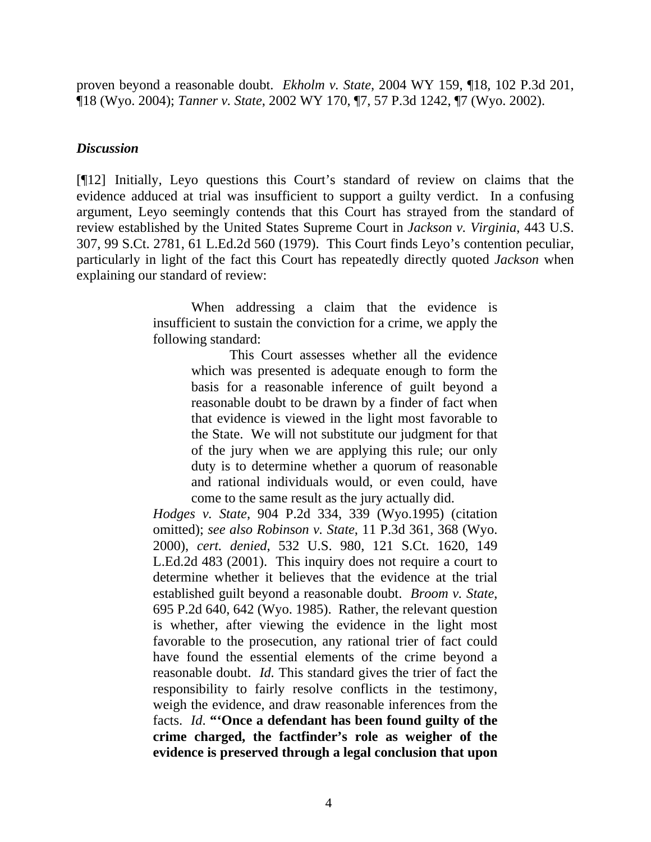proven beyond a reasonable doubt. *Ekholm v. State*, 2004 WY 159, ¶18, 102 P.3d 201, ¶18 (Wyo. 2004); *Tanner v. State*, 2002 WY 170, ¶7, 57 P.3d 1242, ¶7 (Wyo. 2002).

## *Discussion*

[¶12] Initially, Leyo questions this Court's standard of review on claims that the evidence adduced at trial was insufficient to support a guilty verdict. In a confusing argument, Leyo seemingly contends that this Court has strayed from the standard of review established by the United States Supreme Court in *Jackson v. Virginia*, 443 U.S. 307, 99 S.Ct. 2781, 61 L.Ed.2d 560 (1979). This Court finds Leyo's contention peculiar, particularly in light of the fact this Court has repeatedly directly quoted *Jackson* when explaining our standard of review:

> When addressing a claim that the evidence is insufficient to sustain the conviction for a crime, we apply the following standard:

> > This Court assesses whether all the evidence which was presented is adequate enough to form the basis for a reasonable inference of guilt beyond a reasonable doubt to be drawn by a finder of fact when that evidence is viewed in the light most favorable to the State. We will not substitute our judgment for that of the jury when we are applying this rule; our only duty is to determine whether a quorum of reasonable and rational individuals would, or even could, have come to the same result as the jury actually did.

*Hodges v. State*, 904 P.2d 334, 339 (Wyo.1995) (citation omitted); *see also Robinson v. State*, 11 P.3d 361, 368 (Wyo. 2000), *cert. denied*, 532 U.S. 980, 121 S.Ct. 1620, 149 L.Ed.2d 483 (2001). This inquiry does not require a court to determine whether it believes that the evidence at the trial established guilt beyond a reasonable doubt. *Broom v. State*, 695 P.2d 640, 642 (Wyo. 1985). Rather, the relevant question is whether, after viewing the evidence in the light most favorable to the prosecution, any rational trier of fact could have found the essential elements of the crime beyond a reasonable doubt. *Id.* This standard gives the trier of fact the responsibility to fairly resolve conflicts in the testimony, weigh the evidence, and draw reasonable inferences from the facts. *Id*. **"'Once a defendant has been found guilty of the crime charged, the factfinder's role as weigher of the evidence is preserved through a legal conclusion that upon**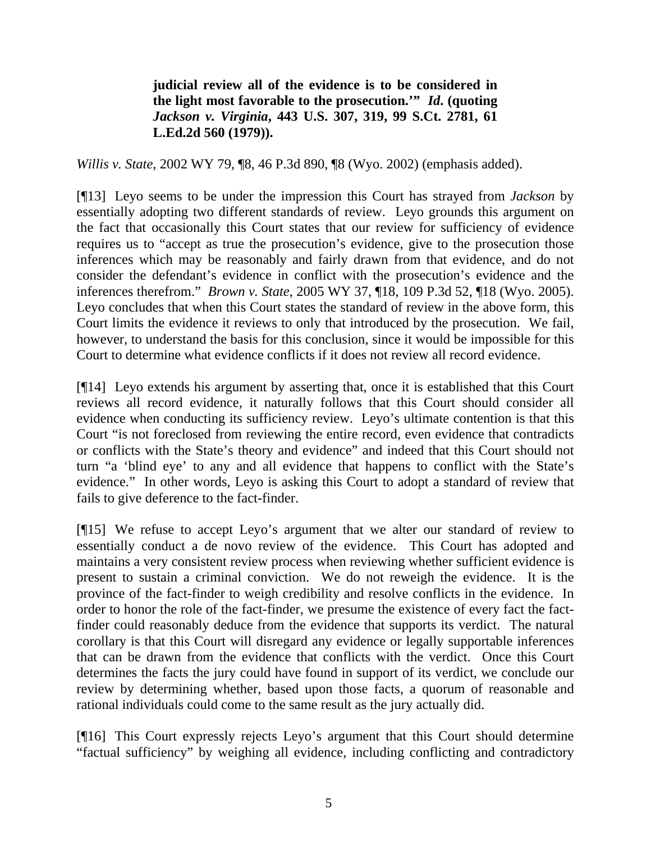**judicial review all of the evidence is to be considered in the light most favorable to the prosecution.'"** *Id***. (quoting**  *Jackson v. Virginia***, 443 U.S. 307, 319, 99 S.Ct. 2781, 61 L.Ed.2d 560 (1979)).**

*Willis v. State*, 2002 WY 79, ¶8, 46 P.3d 890, ¶8 (Wyo. 2002) (emphasis added).

[¶13] Leyo seems to be under the impression this Court has strayed from *Jackson* by essentially adopting two different standards of review. Leyo grounds this argument on the fact that occasionally this Court states that our review for sufficiency of evidence requires us to "accept as true the prosecution's evidence, give to the prosecution those inferences which may be reasonably and fairly drawn from that evidence, and do not consider the defendant's evidence in conflict with the prosecution's evidence and the inferences therefrom." *Brown v. State*, 2005 WY 37, ¶18, 109 P.3d 52, ¶18 (Wyo. 2005). Leyo concludes that when this Court states the standard of review in the above form, this Court limits the evidence it reviews to only that introduced by the prosecution. We fail, however, to understand the basis for this conclusion, since it would be impossible for this Court to determine what evidence conflicts if it does not review all record evidence.

[¶14] Leyo extends his argument by asserting that, once it is established that this Court reviews all record evidence, it naturally follows that this Court should consider all evidence when conducting its sufficiency review. Leyo's ultimate contention is that this Court "is not foreclosed from reviewing the entire record, even evidence that contradicts or conflicts with the State's theory and evidence" and indeed that this Court should not turn "a 'blind eye' to any and all evidence that happens to conflict with the State's evidence." In other words, Leyo is asking this Court to adopt a standard of review that fails to give deference to the fact-finder.

[¶15] We refuse to accept Leyo's argument that we alter our standard of review to essentially conduct a de novo review of the evidence. This Court has adopted and maintains a very consistent review process when reviewing whether sufficient evidence is present to sustain a criminal conviction. We do not reweigh the evidence. It is the province of the fact-finder to weigh credibility and resolve conflicts in the evidence. In order to honor the role of the fact-finder, we presume the existence of every fact the factfinder could reasonably deduce from the evidence that supports its verdict. The natural corollary is that this Court will disregard any evidence or legally supportable inferences that can be drawn from the evidence that conflicts with the verdict. Once this Court determines the facts the jury could have found in support of its verdict, we conclude our review by determining whether, based upon those facts, a quorum of reasonable and rational individuals could come to the same result as the jury actually did.

[¶16] This Court expressly rejects Leyo's argument that this Court should determine "factual sufficiency" by weighing all evidence, including conflicting and contradictory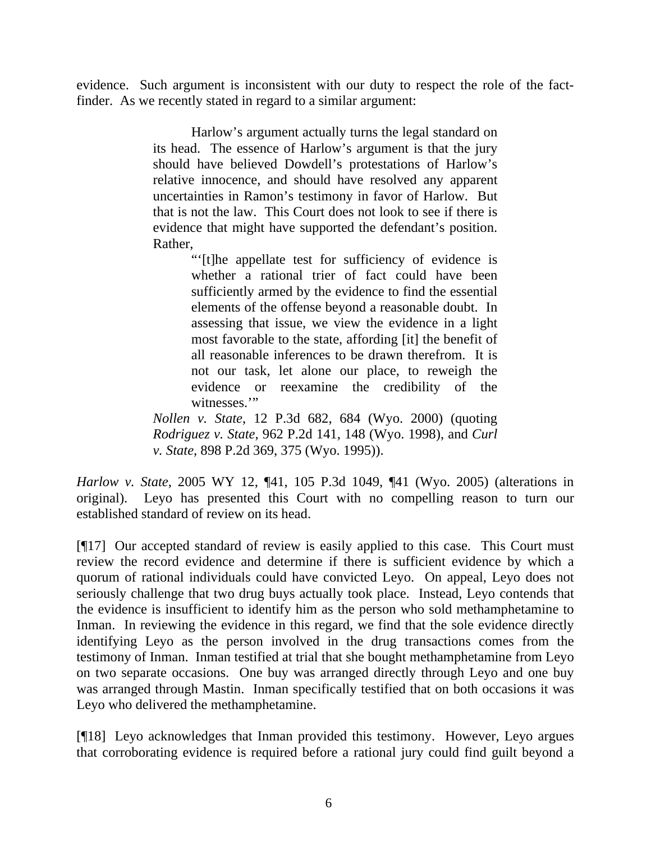evidence. Such argument is inconsistent with our duty to respect the role of the factfinder. As we recently stated in regard to a similar argument:

> Harlow's argument actually turns the legal standard on its head. The essence of Harlow's argument is that the jury should have believed Dowdell's protestations of Harlow's relative innocence, and should have resolved any apparent uncertainties in Ramon's testimony in favor of Harlow. But that is not the law. This Court does not look to see if there is evidence that might have supported the defendant's position. Rather,

> > "'[t]he appellate test for sufficiency of evidence is whether a rational trier of fact could have been sufficiently armed by the evidence to find the essential elements of the offense beyond a reasonable doubt. In assessing that issue, we view the evidence in a light most favorable to the state, affording [it] the benefit of all reasonable inferences to be drawn therefrom. It is not our task, let alone our place, to reweigh the evidence or reexamine the credibility of the witnesses."

*Nollen v. State*, 12 P.3d 682, 684 (Wyo. 2000) (quoting *Rodriguez v. State*, 962 P.2d 141, 148 (Wyo. 1998), and *Curl v. State*, 898 P.2d 369, 375 (Wyo. 1995)).

*Harlow v. State*, 2005 WY 12, ¶41, 105 P.3d 1049, ¶41 (Wyo. 2005) (alterations in original). Leyo has presented this Court with no compelling reason to turn our established standard of review on its head.

[¶17] Our accepted standard of review is easily applied to this case. This Court must review the record evidence and determine if there is sufficient evidence by which a quorum of rational individuals could have convicted Leyo. On appeal, Leyo does not seriously challenge that two drug buys actually took place. Instead, Leyo contends that the evidence is insufficient to identify him as the person who sold methamphetamine to Inman. In reviewing the evidence in this regard, we find that the sole evidence directly identifying Leyo as the person involved in the drug transactions comes from the testimony of Inman. Inman testified at trial that she bought methamphetamine from Leyo on two separate occasions. One buy was arranged directly through Leyo and one buy was arranged through Mastin. Inman specifically testified that on both occasions it was Leyo who delivered the methamphetamine.

[¶18] Leyo acknowledges that Inman provided this testimony. However, Leyo argues that corroborating evidence is required before a rational jury could find guilt beyond a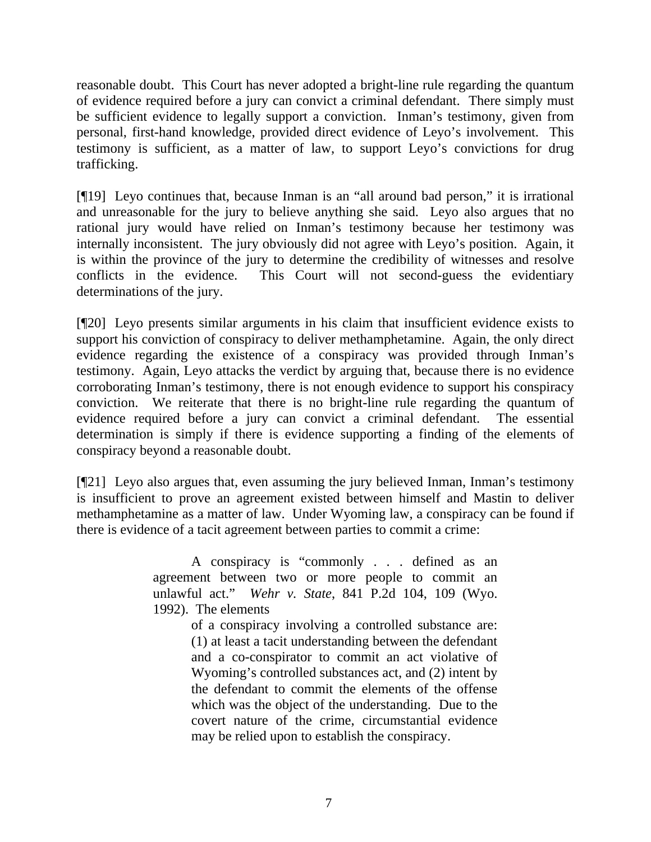reasonable doubt. This Court has never adopted a bright-line rule regarding the quantum of evidence required before a jury can convict a criminal defendant. There simply must be sufficient evidence to legally support a conviction. Inman's testimony, given from personal, first-hand knowledge, provided direct evidence of Leyo's involvement. This testimony is sufficient, as a matter of law, to support Leyo's convictions for drug trafficking.

[¶19] Leyo continues that, because Inman is an "all around bad person," it is irrational and unreasonable for the jury to believe anything she said. Leyo also argues that no rational jury would have relied on Inman's testimony because her testimony was internally inconsistent. The jury obviously did not agree with Leyo's position. Again, it is within the province of the jury to determine the credibility of witnesses and resolve conflicts in the evidence. This Court will not second-guess the evidentiary determinations of the jury.

[¶20] Leyo presents similar arguments in his claim that insufficient evidence exists to support his conviction of conspiracy to deliver methamphetamine. Again, the only direct evidence regarding the existence of a conspiracy was provided through Inman's testimony. Again, Leyo attacks the verdict by arguing that, because there is no evidence corroborating Inman's testimony, there is not enough evidence to support his conspiracy conviction. We reiterate that there is no bright-line rule regarding the quantum of evidence required before a jury can convict a criminal defendant. The essential determination is simply if there is evidence supporting a finding of the elements of conspiracy beyond a reasonable doubt.

[¶21] Leyo also argues that, even assuming the jury believed Inman, Inman's testimony is insufficient to prove an agreement existed between himself and Mastin to deliver methamphetamine as a matter of law. Under Wyoming law, a conspiracy can be found if there is evidence of a tacit agreement between parties to commit a crime:

> A conspiracy is "commonly . . . defined as an agreement between two or more people to commit an unlawful act." *Wehr v. State*, 841 P.2d 104, 109 (Wyo. 1992). The elements

> > of a conspiracy involving a controlled substance are: (1) at least a tacit understanding between the defendant and a co-conspirator to commit an act violative of Wyoming's controlled substances act, and (2) intent by the defendant to commit the elements of the offense which was the object of the understanding. Due to the covert nature of the crime, circumstantial evidence may be relied upon to establish the conspiracy.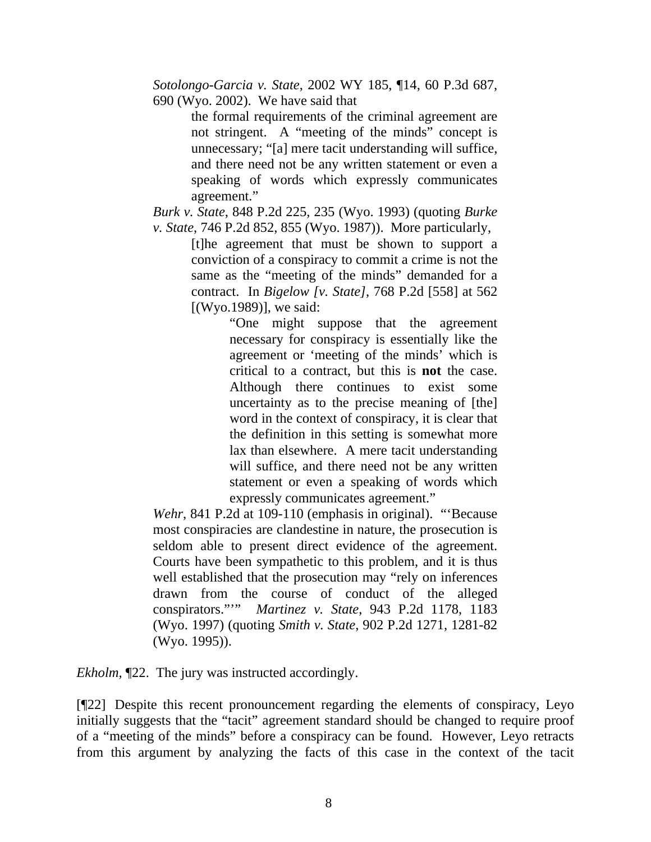*Sotolongo-Garcia v. State*, 2002 WY 185, ¶14, 60 P.3d 687, 690 (Wyo. 2002). We have said that

> the formal requirements of the criminal agreement are not stringent. A "meeting of the minds" concept is unnecessary; "[a] mere tacit understanding will suffice, and there need not be any written statement or even a speaking of words which expressly communicates agreement."

*Burk v. State*, 848 P.2d 225, 235 (Wyo. 1993) (quoting *Burke v. State*, 746 P.2d 852, 855 (Wyo. 1987)). More particularly,

[t]he agreement that must be shown to support a conviction of a conspiracy to commit a crime is not the same as the "meeting of the minds" demanded for a contract. In *Bigelow [v. State]*, 768 P.2d [558] at 562 [(Wyo.1989)], we said:

"One might suppose that the agreement necessary for conspiracy is essentially like the agreement or 'meeting of the minds' which is critical to a contract, but this is **not** the case. Although there continues to exist some uncertainty as to the precise meaning of [the] word in the context of conspiracy, it is clear that the definition in this setting is somewhat more lax than elsewhere. A mere tacit understanding will suffice, and there need not be any written statement or even a speaking of words which expressly communicates agreement."

*Wehr*, 841 P.2d at 109-110 (emphasis in original). "'Because most conspiracies are clandestine in nature, the prosecution is seldom able to present direct evidence of the agreement. Courts have been sympathetic to this problem, and it is thus well established that the prosecution may "rely on inferences drawn from the course of conduct of the alleged conspirators."'" *Martinez v. State*, 943 P.2d 1178, 1183 (Wyo. 1997) (quoting *Smith v. State*, 902 P.2d 1271, 1281-82 (Wyo. 1995)).

*Ekholm,*  $\mathbb{Z}22$ . The jury was instructed accordingly.

[¶22] Despite this recent pronouncement regarding the elements of conspiracy, Leyo initially suggests that the "tacit" agreement standard should be changed to require proof of a "meeting of the minds" before a conspiracy can be found. However, Leyo retracts from this argument by analyzing the facts of this case in the context of the tacit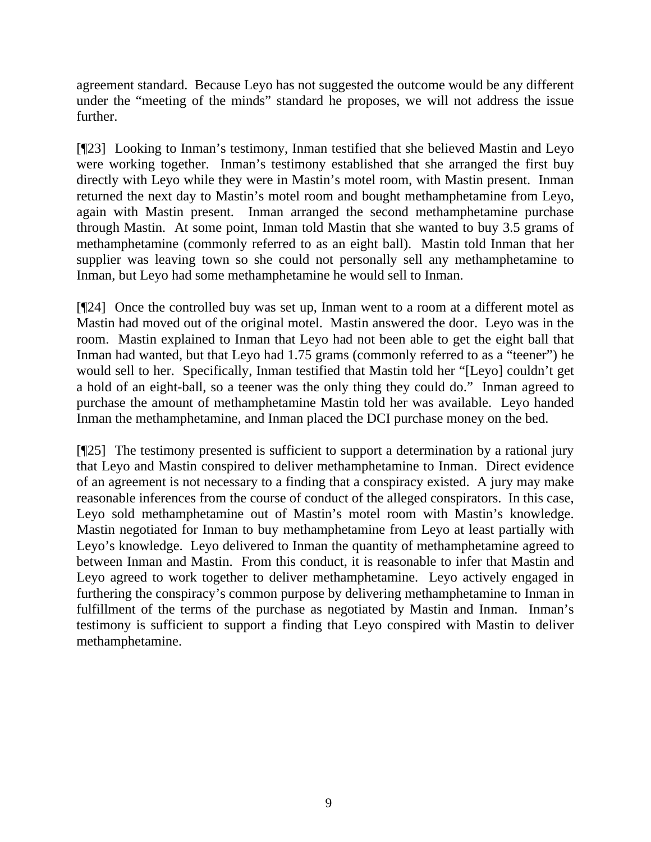agreement standard. Because Leyo has not suggested the outcome would be any different under the "meeting of the minds" standard he proposes, we will not address the issue further.

[¶23] Looking to Inman's testimony, Inman testified that she believed Mastin and Leyo were working together. Inman's testimony established that she arranged the first buy directly with Leyo while they were in Mastin's motel room, with Mastin present. Inman returned the next day to Mastin's motel room and bought methamphetamine from Leyo, again with Mastin present. Inman arranged the second methamphetamine purchase through Mastin. At some point, Inman told Mastin that she wanted to buy 3.5 grams of methamphetamine (commonly referred to as an eight ball). Mastin told Inman that her supplier was leaving town so she could not personally sell any methamphetamine to Inman, but Leyo had some methamphetamine he would sell to Inman.

[¶24] Once the controlled buy was set up, Inman went to a room at a different motel as Mastin had moved out of the original motel. Mastin answered the door. Leyo was in the room. Mastin explained to Inman that Leyo had not been able to get the eight ball that Inman had wanted, but that Leyo had 1.75 grams (commonly referred to as a "teener") he would sell to her. Specifically, Inman testified that Mastin told her "[Leyo] couldn't get a hold of an eight-ball, so a teener was the only thing they could do." Inman agreed to purchase the amount of methamphetamine Mastin told her was available. Leyo handed Inman the methamphetamine, and Inman placed the DCI purchase money on the bed.

[¶25] The testimony presented is sufficient to support a determination by a rational jury that Leyo and Mastin conspired to deliver methamphetamine to Inman. Direct evidence of an agreement is not necessary to a finding that a conspiracy existed. A jury may make reasonable inferences from the course of conduct of the alleged conspirators. In this case, Leyo sold methamphetamine out of Mastin's motel room with Mastin's knowledge. Mastin negotiated for Inman to buy methamphetamine from Leyo at least partially with Leyo's knowledge. Leyo delivered to Inman the quantity of methamphetamine agreed to between Inman and Mastin. From this conduct, it is reasonable to infer that Mastin and Leyo agreed to work together to deliver methamphetamine. Leyo actively engaged in furthering the conspiracy's common purpose by delivering methamphetamine to Inman in fulfillment of the terms of the purchase as negotiated by Mastin and Inman. Inman's testimony is sufficient to support a finding that Leyo conspired with Mastin to deliver methamphetamine.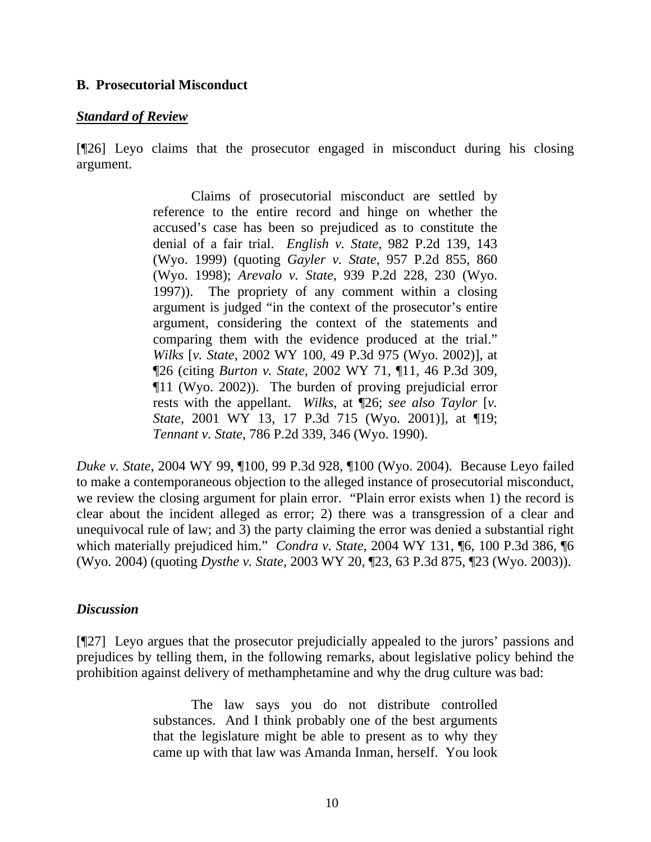## **B. Prosecutorial Misconduct**

### *Standard of Review*

[¶26] Leyo claims that the prosecutor engaged in misconduct during his closing argument.

> Claims of prosecutorial misconduct are settled by reference to the entire record and hinge on whether the accused's case has been so prejudiced as to constitute the denial of a fair trial. *English v. State*, 982 P.2d 139, 143 (Wyo. 1999) (quoting *Gayler v. State*, 957 P.2d 855, 860 (Wyo. 1998); *Arevalo v. State*, 939 P.2d 228, 230 (Wyo. 1997)). The propriety of any comment within a closing argument is judged "in the context of the prosecutor's entire argument, considering the context of the statements and comparing them with the evidence produced at the trial." *Wilks* [*v. State,* 2002 WY 100, 49 P.3d 975 (Wyo. 2002)], at ¶26 (citing *Burton v. State*, 2002 WY 71, ¶11, 46 P.3d 309, ¶11 (Wyo. 2002)). The burden of proving prejudicial error rests with the appellant. *Wilks*, at ¶26; *see also Taylor* [*v. State,* 2001 WY 13, 17 P.3d 715 (Wyo. 2001)], at ¶19; *Tennant v. State*, 786 P.2d 339, 346 (Wyo. 1990).

*Duke v. State*, 2004 WY 99, ¶100, 99 P.3d 928, ¶100 (Wyo. 2004). Because Leyo failed to make a contemporaneous objection to the alleged instance of prosecutorial misconduct, we review the closing argument for plain error. "Plain error exists when 1) the record is clear about the incident alleged as error; 2) there was a transgression of a clear and unequivocal rule of law; and 3) the party claiming the error was denied a substantial right which materially prejudiced him." *Condra v. State*, 2004 WY 131, ¶6, 100 P.3d 386, ¶6 (Wyo. 2004) (quoting *Dysthe v. State*, 2003 WY 20, ¶23, 63 P.3d 875, ¶23 (Wyo. 2003)).

## *Discussion*

[¶27] Leyo argues that the prosecutor prejudicially appealed to the jurors' passions and prejudices by telling them, in the following remarks, about legislative policy behind the prohibition against delivery of methamphetamine and why the drug culture was bad:

> The law says you do not distribute controlled substances. And I think probably one of the best arguments that the legislature might be able to present as to why they came up with that law was Amanda Inman, herself. You look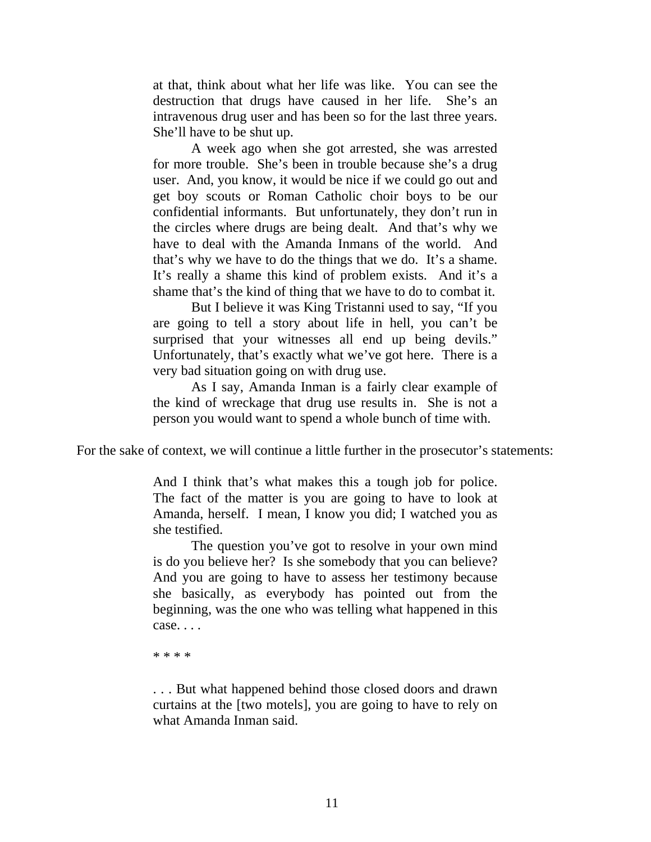at that, think about what her life was like. You can see the destruction that drugs have caused in her life. She's an intravenous drug user and has been so for the last three years. She'll have to be shut up.

A week ago when she got arrested, she was arrested for more trouble. She's been in trouble because she's a drug user. And, you know, it would be nice if we could go out and get boy scouts or Roman Catholic choir boys to be our confidential informants. But unfortunately, they don't run in the circles where drugs are being dealt. And that's why we have to deal with the Amanda Inmans of the world. And that's why we have to do the things that we do. It's a shame. It's really a shame this kind of problem exists. And it's a shame that's the kind of thing that we have to do to combat it.

But I believe it was King Tristanni used to say, "If you are going to tell a story about life in hell, you can't be surprised that your witnesses all end up being devils." Unfortunately, that's exactly what we've got here. There is a very bad situation going on with drug use.

As I say, Amanda Inman is a fairly clear example of the kind of wreckage that drug use results in. She is not a person you would want to spend a whole bunch of time with.

For the sake of context, we will continue a little further in the prosecutor's statements:

And I think that's what makes this a tough job for police. The fact of the matter is you are going to have to look at Amanda, herself. I mean, I know you did; I watched you as she testified.

The question you've got to resolve in your own mind is do you believe her? Is she somebody that you can believe? And you are going to have to assess her testimony because she basically, as everybody has pointed out from the beginning, was the one who was telling what happened in this case. . . .

\* \* \* \*

. . . But what happened behind those closed doors and drawn curtains at the [two motels], you are going to have to rely on what Amanda Inman said.